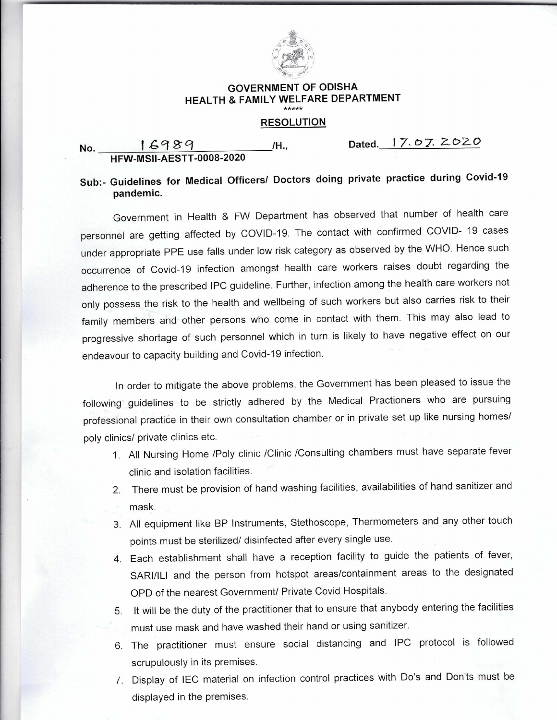

## **GOVERNMENT OF ODISHA HEALTH & FAMILY WELFARE DEPARTMENT**

## **RESOLUTION**

## **No. 16989 /H., Dated. 17.07.2020 HFW-MSII-AESTT-0008-2020**

## **Sub:- Guidelines for Medical Officers/ Doctors doing private practice during Covid-19 pandemic.**

Government in Health & FW Department has observed that number of health care personnel are getting affected by COVID-19. The contact with confirmed COVID- 19 cases under appropriate PPE use falls under low risk category as observed by the WHO. Hence such occurrence of Covid-19 infection amongst health care workers raises doubt regarding the adherence to the prescribed IPC guideline. Further, infection among the health care workers not only possess the risk to the health and wellbeing of such workers but also carries risk to their family members and other persons who come in contact with them. This may also lead to progressive shortage of such personnel which in turn is likely to have negative effect on our endeavour to capacity building and Covid-19 infection.

In order to mitigate the above problems, the Government has been pleased to issue the following guidelines to be strictly adhered by the Medical Practioners who are pursuing professional practice in their own consultation chamber or in private set up like nursing homes/ poly clinics/ private clinics etc.

- 1. All Nursing Home /Poly clinic /Clinic /Consulting chambers must have separate fever clinic and isolation facilities.
- 2. There must be provision of hand washing facilities, availabilities of hand sanitizer and mask.
- 3. All equipment like BP Instruments, Stethoscope, Thermometers and any other touch points must be sterilized/ disinfected after every single use.
- 4. Each establishment shall have a reception facility to guide the patients of fever, SARI/ILI and the person from hotspot areas/containment areas to the designated OPD of the nearest Government/ Private Covid Hospitals.
- 5. It will be the duty of the practitioner that to ensure that anybody entering the facilities must use mask and have washed their hand or using sanitizer.
- 6. The practitioner must ensure social distancing and IPC protocol is followed scrupulously in its premises.
- 7. Display of IEC material on infection control practices with Do's and Don'ts must be displayed in the premises.